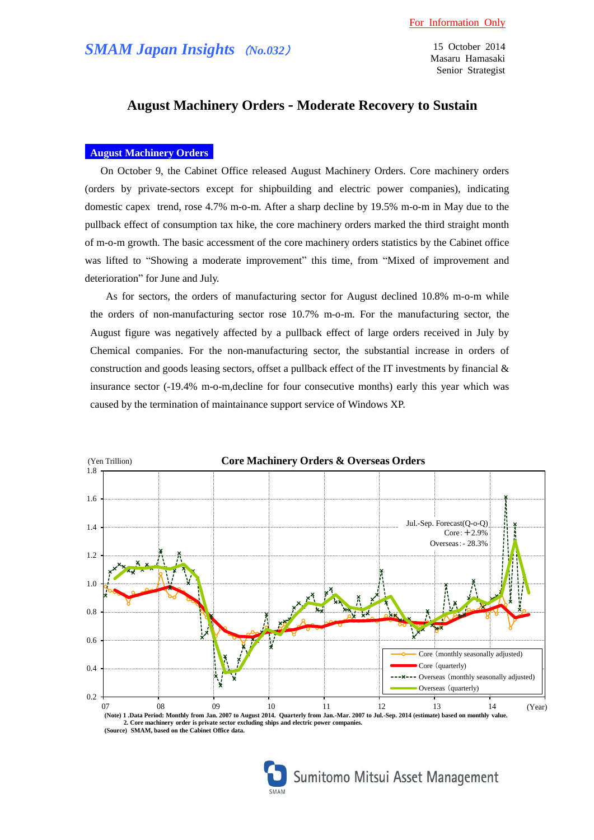15 October 2014 Masaru Hamasaki Senior Strategist

# **August Machinery Orders - Moderate Recovery to Sustain**

### **August Machinery Orders**

On October 9, the Cabinet Office released August Machinery Orders. Core machinery orders (orders by private-sectors except for shipbuilding and electric power companies), indicating domestic capex trend, rose 4.7% m-o-m. After a sharp decline by 19.5% m-o-m in May due to the pullback effect of consumption tax hike, the core machinery orders marked the third straight month of m-o-m growth. The basic accessment of the core machinery orders statistics by the Cabinet office was lifted to "Showing a moderate improvement" this time, from "Mixed of improvement and deterioration" for June and July.

As for sectors, the orders of manufacturing sector for August declined 10.8% m-o-m while the orders of non-manufacturing sector rose 10.7% m-o-m. For the manufacturing sector, the August figure was negatively affected by a pullback effect of large orders received in July by Chemical companies. For the non-manufacturing sector, the substantial increase in orders of construction and goods leasing sectors, offset a pullback effect of the IT investments by financial  $\&$ insurance sector (-19.4% m-o-m,decline for four consecutive months) early this year which was caused by the termination of maintainance support service of Windows XP.



**(Source) SMAM, based on the Cabinet Office data.**

Sumitomo Mitsui Asset Management